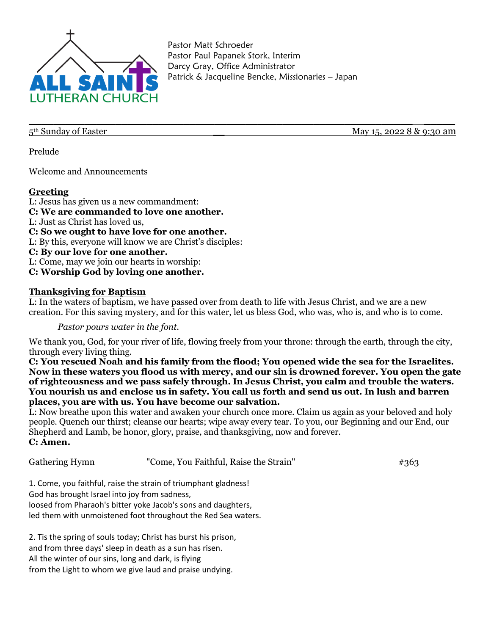

Pastor Matt Schroeder Pastor Paul Papanek Stork, Interim Darcy Gray, Office Administrator Patrick & Jacqueline Bencke, Missionaries – Japan

\_\_\_\_\_\_\_\_\_\_\_\_\_\_\_\_\_\_\_\_\_\_\_\_\_\_\_\_\_\_\_\_\_\_\_\_\_\_\_\_\_\_\_\_\_\_\_\_\_\_\_\_\_\_\_\_\_\_\_\_\_\_ \_\_\_\_\_

5<sup>th</sup> Sunday of Easter

Prelude

Welcome and Announcements

### **Greeting**

L: Jesus has given us a new commandment: **C: We are commanded to love one another.** L: Just as Christ has loved us, **C: So we ought to have love for one another.** L: By this, everyone will know we are Christ's disciples: **C: By our love for one another.** L: Come, may we join our hearts in worship: **C: Worship God by loving one another.**

### **Thanksgiving for Baptism**

L: In the waters of baptism, we have passed over from death to life with Jesus Christ, and we are a new creation. For this saving mystery, and for this water, let us bless God, who was, who is, and who is to come.

*Pastor pours water in the font.*

We thank you, God, for your river of life, flowing freely from your throne: through the earth, through the city, through every living thing.

**C: You rescued Noah and his family from the flood; You opened wide the sea for the Israelites. Now in these waters you flood us with mercy, and our sin is drowned forever. You open the gate of righteousness and we pass safely through. In Jesus Christ, you calm and trouble the waters. You nourish us and enclose us in safety. You call us forth and send us out. In lush and barren places, you are with us. You have become our salvation.** 

L: Now breathe upon this water and awaken your church once more. Claim us again as your beloved and holy people. Quench our thirst; cleanse our hearts; wipe away every tear. To you, our Beginning and our End, our Shepherd and Lamb, be honor, glory, praise, and thanksgiving, now and forever. **C: Amen.**

| Gathering Hymn                                | "Come, You Faithful, Raise the Strain"                          | #363 |
|-----------------------------------------------|-----------------------------------------------------------------|------|
|                                               | 1. Come, you faithful, raise the strain of triumphant gladness! |      |
| God has brought Israel into joy from sadness, |                                                                 |      |
|                                               | loosed from Pharaoh's bitter yoke Jacob's sons and daughters,   |      |
|                                               | led them with unmoistened foot throughout the Red Sea waters.   |      |
|                                               | 2. Tis the spring of souls today; Christ has burst his prison,  |      |
|                                               | and from three days' sleep in death as a sun has risen.         |      |

All the winter of our sins, long and dark, is flying

from the Light to whom we give laud and praise undying.

May 15, 2022 8 & 9:30 am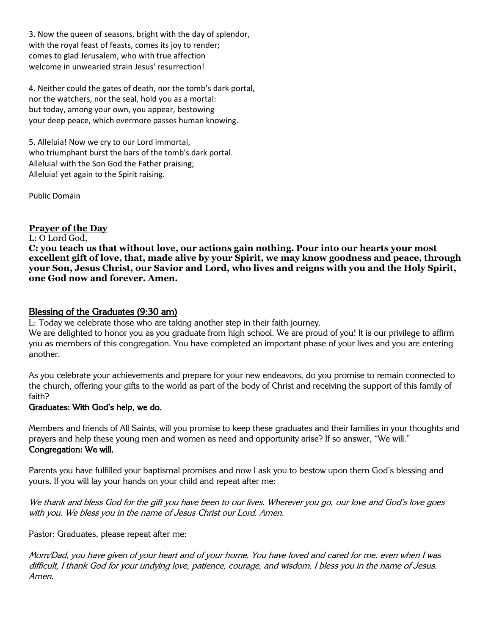3. Now the queen of seasons, bright with the day of splendor, with the royal feast of feasts, comes its joy to render; comes to glad Jerusalem, who with true affection welcome in unwearied strain Jesus' resurrection!

4. Neither could the gates of death, nor the tomb's dark portal, nor the watchers, nor the seal, hold you as a mortal: but today, among your own, you appear, bestowing your deep peace, which evermore passes human knowing.

5. Alleluia! Now we cry to our Lord immortal, who triumphant burst the bars of the tomb's dark portal. Alleluia! with the Son God the Father praising; Alleluia! yet again to the Spirit raising.

Public Domain

## **Prayer of the Day**

### L: O Lord God,

**C: you teach us that without love, our actions gain nothing. Pour into our hearts your most excellent gift of love, that, made alive by your Spirit, we may know goodness and peace, through your Son, Jesus Christ, our Savior and Lord, who lives and reigns with you and the Holy Spirit, one God now and forever. Amen.**

## Blessing of the Graduates (9:30 am)

L: Today we celebrate those who are taking another step in their faith journey.

We are delighted to honor you as you graduate from high school. We are proud of you! It is our privilege to affirm you as members of this congregation. You have completed an important phase of your lives and you are entering another.

As you celebrate your achievements and prepare for your new endeavors, do you promise to remain connected to the church, offering your gifts to the world as part of the body of Christ and receiving the support of this family of faith?

### Graduates: With God's help, we do.

Members and friends of All Saints, will you promise to keep these graduates and their families in your thoughts and prayers and help these young men and women as need and opportunity arise? If so answer, "We will." Congregation: We will.

Parents you have fulfilled your baptismal promises and now I ask you to bestow upon them God's blessing and yours. If you will lay your hands on your child and repeat after me:

We thank and bless God for the gift you have been to our lives. Wherever you go, our love and God's love goes with you. We bless you in the name of Jesus Christ our Lord. Amen.

Pastor: Graduates, please repeat after me:

Mom/Dad, you have given of your heart and of your home. You have loved and cared for me, even when I was difficult, I thank God for your undying love, patience, courage, and wisdom. I bless you in the name of Jesus. Amen.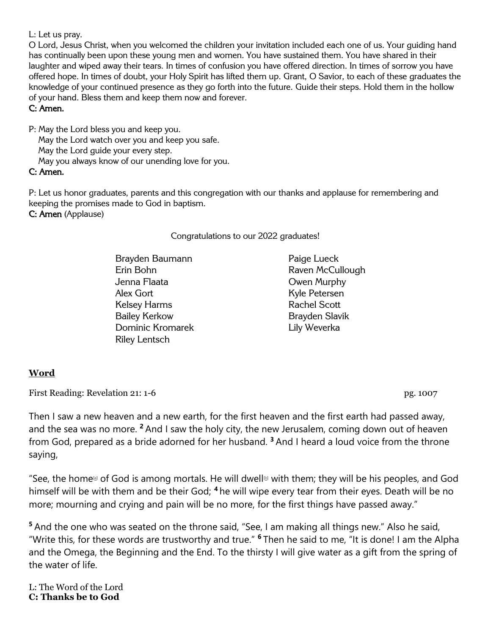L: Let us pray.

O Lord, Jesus Christ, when you welcomed the children your invitation included each one of us. Your guiding hand has continually been upon these young men and women. You have sustained them. You have shared in their laughter and wiped away their tears. In times of confusion you have offered direction. In times of sorrow you have offered hope. In times of doubt, your Holy Spirit has lifted them up. Grant, O Savior, to each of these graduates the knowledge of your continued presence as they go forth into the future. Guide their steps. Hold them in the hollow of your hand. Bless them and keep them now and forever.

# C: Amen.

P: May the Lord bless you and keep you. May the Lord watch over you and keep you safe.

May the Lord guide your every step.

May you always know of our unending love for you.

## C: Amen.

P: Let us honor graduates, parents and this congregation with our thanks and applause for remembering and keeping the promises made to God in baptism. C: Amen (Applause)

## Congratulations to our 2022 graduates!

Brayden Baumann Erin Bohn Jenna Flaata Alex Gort Kelsey Harms Bailey Kerkow Dominic Kromarek Riley Lentsch

Paige Lueck Raven McCullough Owen Murphy Kyle Petersen Rachel Scott Brayden Slavik Lily Weverka

# **Word**

First Reading: Revelation 21: 1-6 pg. 1007

Then I saw a new heaven and a new earth, for the first heaven and the first earth had passed away, and the sea was no more. **<sup>2</sup>** And I saw the holy city, the new Jerusalem, coming down out of heaven from God, prepared as a bride adorned for her husband. **<sup>3</sup>** And I heard a loud voice from the throne saying,

"See, the home<sup> $a$ </sup> of God is among mortals. He will dwell $a$  with them; they will be his peoples, and God himself will be with them and be their God; **<sup>4</sup>** he will wipe every tear from their eyes. Death will be no more; mourning and crying and pain will be no more, for the first things have passed away."

**<sup>5</sup>** And the one who was seated on the throne said, "See, I am making all things new." Also he said, "Write this, for these words are trustworthy and true." **<sup>6</sup>** Then he said to me, "It is done! I am the Alpha and the Omega, the Beginning and the End. To the thirsty I will give water as a gift from the spring of the water of life.

L: The Word of the Lord **C: Thanks be to God**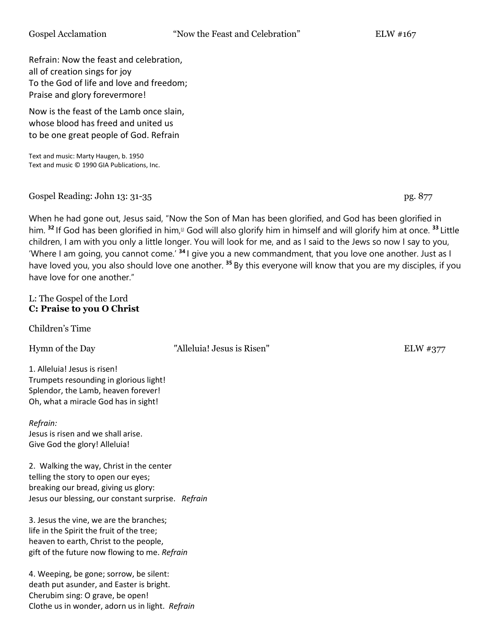Refrain: Now the feast and celebration, all of creation sings for joy To the God of life and love and freedom; Praise and glory forevermore!

Now is the feast of the Lamb once slain, whose blood has freed and united us to be one great people of God. Refrain

Text and music: Marty Haugen, b. 1950 Text and music © 1990 GIA Publications, Inc.

Gospel Reading: John 13: 31-35 pg. 877

When he had gone out, Jesus said, "Now the Son of Man has been glorified, and God has been glorified in him. <sup>32</sup> If God has been glorified in him,<sup>[1]</sup> God will also glorify him in himself and will glorify him at once. <sup>33</sup> Little children, I am with you only a little longer. You will look for me, and as I said to the Jews so now I say to you, 'Where I am going, you cannot come.' **<sup>34</sup>** I give you a new commandment, that you love one another. Just as I have loved you, you also should love one another. **<sup>35</sup>** By this everyone will know that you are my disciples, if you have love for one another."

### L: The Gospel of the Lord **C: Praise to you O Christ**

Children's Time

Hymn of the Day "Alleluia! Jesus is Risen" ELW #377

1. Alleluia! Jesus is risen! Trumpets resounding in glorious light! Splendor, the Lamb, heaven forever! Oh, what a miracle God has in sight!

*Refrain:*  Jesus is risen and we shall arise. Give God the glory! Alleluia!

2. Walking the way, Christ in the center telling the story to open our eyes; breaking our bread, giving us glory: Jesus our blessing, our constant surprise. *Refrain*

3. Jesus the vine, we are the branches; life in the Spirit the fruit of the tree; heaven to earth, Christ to the people, gift of the future now flowing to me. *Refrain*

4. Weeping, be gone; sorrow, be silent: death put asunder, and Easter is bright. Cherubim sing: O grave, be open! Clothe us in wonder, adorn us in light. *Refrain*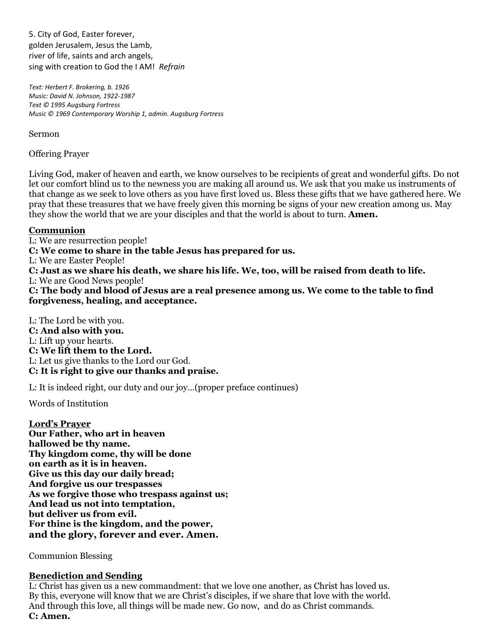5. City of God, Easter forever, golden Jerusalem, Jesus the Lamb, river of life, saints and arch angels, sing with creation to God the I AM! *Refrain*

*Text: Herbert F. Brokering, b. 1926 Music: David N. Johnson, 1922-1987 Text © 1995 Augsburg Fortress Music © 1969 Contemporary Worship 1, admin. Augsburg Fortress*

Sermon **Sermon** 

Offering Prayer

Living God, maker of heaven and earth, we know ourselves to be recipients of great and wonderful gifts. Do not let our comfort blind us to the newness you are making all around us. We ask that you make us instruments of that change as we seek to love others as you have first loved us. Bless these gifts that we have gathered here. We pray that these treasures that we have freely given this morning be signs of your new creation among us. May they show the world that we are your disciples and that the world is about to turn. **Amen.**

## **Communion**

L: We are resurrection people! **C: We come to share in the table Jesus has prepared for us.** L: We are Easter People! **C: Just as we share his death, we share his life. We, too, will be raised from death to life.** L: We are Good News people! **C: The body and blood of Jesus are a real presence among us. We come to the table to find forgiveness, healing, and acceptance.**

L: The Lord be with you. **C: And also with you.** L: Lift up your hearts. **C: We lift them to the Lord.** L: Let us give thanks to the Lord our God. **C: It is right to give our thanks and praise.**

L: It is indeed right, our duty and our joy…(proper preface continues)

Words of Institution

**Lord's Prayer Our Father, who art in heaven hallowed be thy name. Thy kingdom come, thy will be done on earth as it is in heaven. Give us this day our daily bread; And forgive us our trespasses As we forgive those who trespass against us; And lead us not into temptation, but deliver us from evil. For thine is the kingdom, and the power, and the glory, forever and ever. Amen.**

Communion Blessing

## **Benediction and Sending**

L: Christ has given us a new commandment: that we love one another, as Christ has loved us. By this, everyone will know that we are Christ's disciples, if we share that love with the world. And through this love, all things will be made new. Go now, and do as Christ commands. **C: Amen.**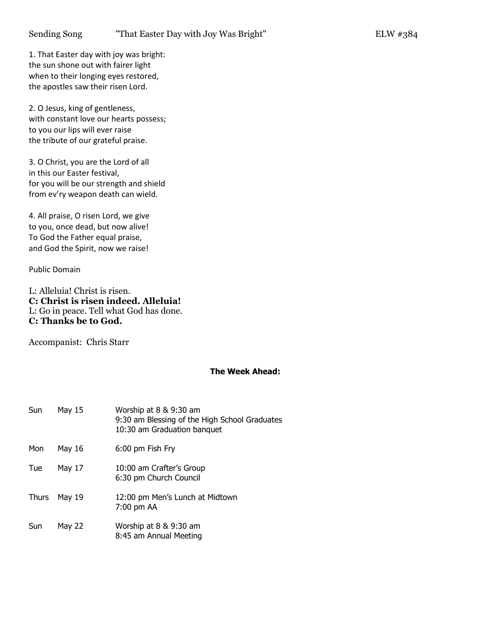1. That Easter day with joy was bright: the sun shone out with fairer light when to their longing eyes restored, the apostles saw their risen Lord.

2. O Jesus, king of gentleness, with constant love our hearts possess; to you our lips will ever raise the tribute of our grateful praise.

3. O Christ, you are the Lord of all in this our Easter festival, for you will be our strength and shield from ev'ry weapon death can wield.

4. All praise, O risen Lord, we give to you, once dead, but now alive! To God the Father equal praise, and God the Spirit, now we raise!

Public Domain

L: Alleluia! Christ is risen. **C: Christ is risen indeed. Alleluia!** L: Go in peace. Tell what God has done. **C: Thanks be to God.**

Accompanist: Chris Starr

### **The Week Ahead:**

| Sun          | May 15 | Worship at 8 & 9:30 am<br>9:30 am Blessing of the High School Graduates<br>10:30 am Graduation banquet |
|--------------|--------|--------------------------------------------------------------------------------------------------------|
| Mon          | May 16 | 6:00 pm Fish Fry                                                                                       |
| Tue          | May 17 | 10:00 am Crafter's Group<br>6:30 pm Church Council                                                     |
| <b>Thurs</b> | May 19 | 12:00 pm Men's Lunch at Midtown<br>7:00 pm AA                                                          |
| Sun          | May 22 | Worship at 8 & 9:30 am<br>8:45 am Annual Meeting                                                       |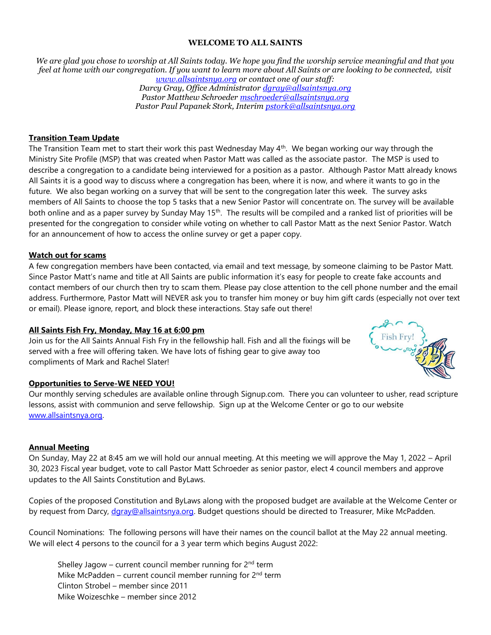#### **WELCOME TO ALL SAINTS**

*We are glad you chose to worship at All Saints today. We hope you find the worship service meaningful and that you feel at home with our congregation. If you want to learn more about All Saints or are looking to be connected, visit [www.allsaintsnya.org](http://www.allsaintsnya.org/) or contact one of our staff:*

*Darcy Gray, Office Administrator [dgray@allsaintsnya.org](mailto:dgray@allsaintsnya.org) Pastor Matthew Schroeder [mschroeder@allsaintsnya.org](mailto:mschroeder@allsaintsnya.org) Pastor Paul Papanek Stork, Interim [pstork@allsaintsnya.org](mailto:pstork@allsaintsnya.org)*

### **Transition Team Update**

The Transition Team met to start their work this past Wednesday May 4<sup>th</sup>. We began working our way through the Ministry Site Profile (MSP) that was created when Pastor Matt was called as the associate pastor. The MSP is used to describe a congregation to a candidate being interviewed for a position as a pastor. Although Pastor Matt already knows All Saints it is a good way to discuss where a congregation has been, where it is now, and where it wants to go in the future. We also began working on a survey that will be sent to the congregation later this week. The survey asks members of All Saints to choose the top 5 tasks that a new Senior Pastor will concentrate on. The survey will be available both online and as a paper survey by Sunday May 15<sup>th</sup>. The results will be compiled and a ranked list of priorities will be presented for the congregation to consider while voting on whether to call Pastor Matt as the next Senior Pastor. Watch for an announcement of how to access the online survey or get a paper copy.

#### **Watch out for scams**

A few congregation members have been contacted, via email and text message, by someone claiming to be Pastor Matt. Since Pastor Matt's name and title at All Saints are public information it's easy for people to create fake accounts and contact members of our church then try to scam them. Please pay close attention to the cell phone number and the email address. Furthermore, Pastor Matt will NEVER ask you to transfer him money or buy him gift cards (especially not over text or email). Please ignore, report, and block these interactions. Stay safe out there!

#### **All Saints Fish Fry, Monday, May 16 at 6:00 pm**

Join us for the All Saints Annual Fish Fry in the fellowship hall. Fish and all the fixings will be served with a free will offering taken. We have lots of fishing gear to give away too compliments of Mark and Rachel Slater!



#### **Opportunities to Serve-WE NEED YOU!**

Our monthly serving schedules are available online through Signup.com. There you can volunteer to usher, read scripture lessons, assist with communion and serve fellowship. Sign up at the Welcome Center or go to our website [www.allsaintsnya.org.](http://www.allsaintsnya.org/) 

#### **Annual Meeting**

On Sunday, May 22 at 8:45 am we will hold our annual meeting. At this meeting we will approve the May 1, 2022 – April 30, 2023 Fiscal year budget, vote to call Pastor Matt Schroeder as senior pastor, elect 4 council members and approve updates to the All Saints Constitution and ByLaws.

Copies of the proposed Constitution and ByLaws along with the proposed budget are available at the Welcome Center or by request from Darcy, daray@allsaintsnya.org. Budget questions should be directed to Treasurer, Mike McPadden.

Council Nominations: The following persons will have their names on the council ballot at the May 22 annual meeting. We will elect 4 persons to the council for a 3 year term which begins August 2022:

Shelley Jagow – current council member running for  $2^{nd}$  term Mike McPadden – current council member running for  $2<sup>nd</sup>$  term Clinton Strobel – member since 2011 Mike Woizeschke – member since 2012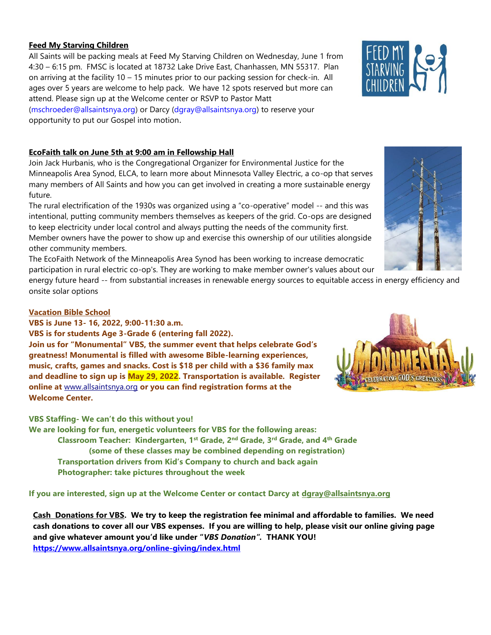### **Feed My Starving Children**

All Saints will be packing meals at Feed My Starving Children on Wednesday, June 1 from 4:30 – 6:15 pm. FMSC is located at 18732 Lake Drive East, Chanhassen, MN 55317. Plan on arriving at the facility 10 – 15 minutes prior to our packing session for check-in. All ages over 5 years are welcome to help pack. We have 12 spots reserved but more can attend. Please sign up at the Welcome center or RSVP to Pastor Matt

[\(mschroeder@allsaintsnya.org\)](mailto:mschroeder@allsaintsnya.org) or Darcy [\(dgray@allsaintsnya.org\)](mailto:dgray@allsaintsnya.org) to reserve your opportunity to put our Gospel into motion.

### **EcoFaith talk on June 5th at 9:00 am in Fellowship Hall**

Join Jack Hurbanis, who is the Congregational Organizer for Environmental Justice for the Minneapolis Area Synod, ELCA, to learn more about Minnesota Valley Electric, a co-op that serves many members of All Saints and how you can get involved in creating a more sustainable energy future.

The rural electrification of the 1930s was organized using a "co-operative" model -- and this was intentional, putting community members themselves as keepers of the grid. Co-ops are designed to keep electricity under local control and always putting the needs of the community first. Member owners have the power to show up and exercise this ownership of our utilities alongside other community members.

The EcoFaith Network of the Minneapolis Area Synod has been working to increase democratic participation in rural electric co-op's. They are working to make member owner's values about our

energy future heard -- from substantial increases in renewable energy sources to equitable access in energy efficiency and onsite solar options

### **Vacation Bible School**

**VBS is June 13- 16, 2022, 9:00-11:30 a.m.**

**VBS is for students Age 3-Grade 6 (entering fall 2022).**

**Join us for "Monumental" VBS, the summer event that helps celebrate God's greatness! Monumental is filled with awesome Bible-learning experiences, music, crafts, games and snacks. Cost is \$18 per child with a \$36 family max and deadline to sign up is May 29, 2022. Transportation is available. Register online at** [www.allsaintsnya.org](http://www.allsaintsnya.org/) **or you can find registration forms at the Welcome Center.**

**VBS Staffing- We can't do this without you!**

**We are looking for fun, energetic volunteers for VBS for the following areas: Classroom Teacher: Kindergarten, 1st Grade, 2nd Grade, 3rd Grade, and 4th Grade (some of these classes may be combined depending on registration) Transportation drivers from Kid's Company to church and back again Photographer: take pictures throughout the week**

**If you are interested, sign up at the Welcome Center or contact Darcy at [dgray@allsaintsnya.org](mailto:dgray@allsaintsnya.org)**

**Cash Donations for VBS. We try to keep the registration fee minimal and affordable to families. We need cash donations to cover all our VBS expenses. If you are willing to help, please visit our online giving page and give whatever amount you'd like under "***VBS Donation".* **THANK YOU! <https://www.allsaintsnya.org/online-giving/index.html>**